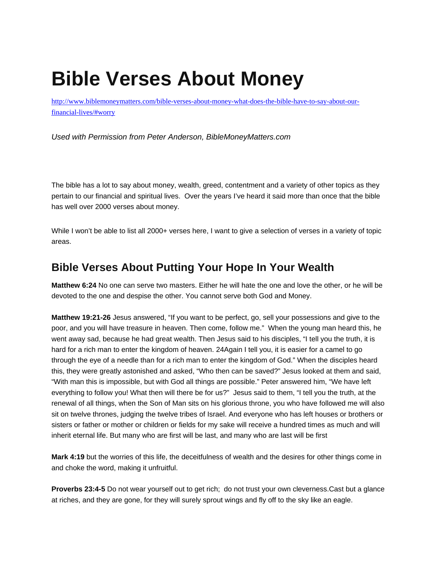# **Bible Verses About Money**

[http://www.biblemoneymatters.com/bible-verses-about-money-what-does-the-bible-have-to-say-about-our](http://www.biblemoneymatters.com/bible-verses-about-money-what-does-the-bible-have-to-say-about-our-financial-lives/#worry)[financial-lives/#worry](http://www.biblemoneymatters.com/bible-verses-about-money-what-does-the-bible-have-to-say-about-our-financial-lives/#worry)

*Used with Permission from Peter Anderson, BibleMoneyMatters.com* 

The bible has a lot to say about money, wealth, greed, contentment and a variety of other topics as they pertain to our financial and spiritual lives. Over the years I've heard it said more than once that the bible has well over 2000 verses about money.

While I won't be able to list all 2000+ verses here, I want to give a selection of verses in a variety of topic areas.

## **Bible Verses About Putting Your Hope In Your Wealth**

**Matthew 6:24** No one can serve two masters. Either he will hate the one and love the other, or he will be devoted to the one and despise the other. You cannot serve both God and Money.

**Matthew 19:21-26** Jesus answered, "If you want to be perfect, go, sell your possessions and give to the poor, and you will have treasure in heaven. Then come, follow me." When the young man heard this, he went away sad, because he had great wealth. Then Jesus said to his disciples, "I tell you the truth, it is hard for a rich man to enter the kingdom of heaven. 24Again I tell you, it is easier for a camel to go through the eye of a needle than for a rich man to enter the kingdom of God." When the disciples heard this, they were greatly astonished and asked, "Who then can be saved?" Jesus looked at them and said, "With man this is impossible, but with God all things are possible." Peter answered him, "We have left everything to follow you! What then will there be for us?" Jesus said to them, "I tell you the truth, at the renewal of all things, when the Son of Man sits on his glorious throne, you who have followed me will also sit on twelve thrones, judging the twelve tribes of Israel. And everyone who has left houses or brothers or sisters or father or mother or children or fields for my sake will receive a hundred times as much and will inherit eternal life. But many who are first will be last, and many who are last will be first

**Mark 4:19** but the worries of this life, the deceitfulness of wealth and the desires for other things come in and choke the word, making it unfruitful.

**Proverbs 23:4-5** Do not wear yourself out to get rich; do not trust your own cleverness.Cast but a glance at riches, and they are gone, for they will surely sprout wings and fly off to the sky like an eagle.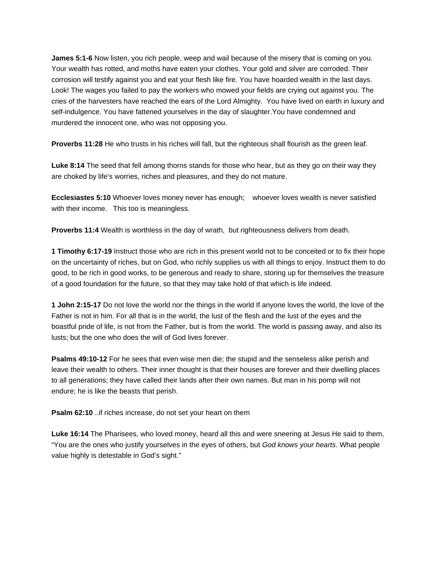**James 5:1-6** Now listen, you rich people, weep and wail because of the misery that is coming on you. Your wealth has rotted, and moths have eaten your clothes. Your gold and silver are corroded. Their corrosion will testify against you and eat your flesh like fire. You have hoarded wealth in the last days. Look! The wages you failed to pay the workers who mowed your fields are crying out against you. The cries of the harvesters have reached the ears of the Lord Almighty. You have lived on earth in luxury and self-indulgence. You have fattened yourselves in the day of slaughter.You have condemned and murdered the innocent one, who was not opposing you.

**Proverbs 11:28** He who trusts in his riches will fall, but the righteous shall flourish as the green leaf.

**Luke 8:14** The seed that fell among thorns stands for those who hear, but as they go on their way they are choked by life's worries, riches and pleasures, and they do not mature.

**Ecclesiastes 5:10** Whoever loves money never has enough; whoever loves wealth is never satisfied with their income. This too is meaningless.

**Proverbs 11:4** Wealth is worthless in the day of wrath, but righteousness delivers from death.

**1 Timothy 6:17-19** Instruct those who are rich in this present world not to be conceited or to fix their hope on the uncertainty of riches, but on God, who richly supplies us with all things to enjoy. Instruct them to do good, to be rich in good works, to be generous and ready to share, storing up for themselves the treasure of a good foundation for the future, so that they may take hold of that which is life indeed.

**1 John 2:15-17** Do not love the world nor the things in the world If anyone loves the world, the love of the Father is not in him. For all that is in the world, the lust of the flesh and the lust of the eyes and the boastful pride of life, is not from the Father, but is from the world. The world is passing away, and also its lusts; but the one who does the will of God lives forever.

**Psalms 49:10-12** For he sees that even wise men die; the stupid and the senseless alike perish and leave their wealth to others. Their inner thought is that their houses are forever and their dwelling places to all generations; they have called their lands after their own names. But man in his pomp will not endure; he is like the beasts that perish.

**Psalm 62:10** ..if riches increase, do not set your heart on them

**Luke 16:14** The Pharisees, who loved money, heard all this and were sneering at Jesus He said to them, "You are the ones who justify yourselves in the eyes of others, but *God knows your hearts*. What people value highly is detestable in God's sight."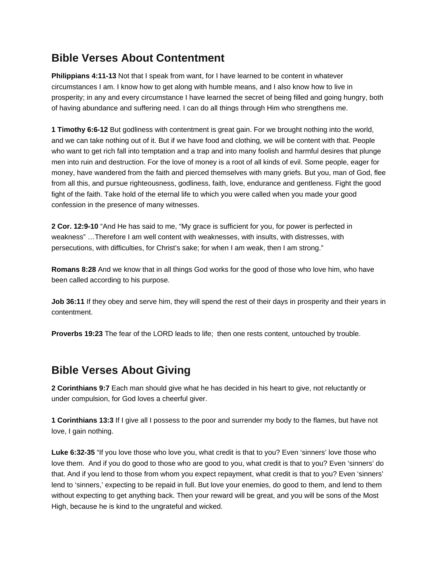# **Bible Verses About Contentment**

**Philippians 4:11-13** Not that I speak from want, for I have learned to be content in whatever circumstances I am. I know how to get along with humble means, and I also know how to live in prosperity; in any and every circumstance I have learned the secret of being filled and going hungry, both of having abundance and suffering need. I can do all things through Him who strengthens me.

**1 Timothy 6:6-12** But godliness with contentment is great gain. For we brought nothing into the world, and we can take nothing out of it. But if we have food and clothing, we will be content with that. People who want to get rich fall into temptation and a trap and into many foolish and harmful desires that plunge men into ruin and destruction. For the love of money is a root of all kinds of evil. Some people, eager for money, have wandered from the faith and pierced themselves with many griefs. But you, man of God, flee from all this, and pursue righteousness, godliness, faith, love, endurance and gentleness. Fight the good fight of the faith. Take hold of the eternal life to which you were called when you made your good confession in the presence of many witnesses.

**2 Cor. 12:9-10** "And He has said to me, "My grace is sufficient for you, for power is perfected in weakness" …Therefore I am well content with weaknesses, with insults, with distresses, with persecutions, with difficulties, for Christ's sake; for when I am weak, then I am strong."

**Romans 8:28** And we know that in all things God works for the good of those who love him, who have been called according to his purpose.

**Job 36:11** If they obey and serve him, they will spend the rest of their days in prosperity and their years in contentment.

**Proverbs 19:23** The fear of the LORD leads to life; then one rests content, untouched by trouble.

# **Bible Verses About Giving**

**2 Corinthians 9:7** Each man should give what he has decided in his heart to give, not reluctantly or under compulsion, for God loves a cheerful giver.

**1 Corinthians 13:3** If I give all I possess to the poor and surrender my body to the flames, but have not love, I gain nothing.

**Luke 6:32-35** "If you love those who love you, what credit is that to you? Even 'sinners' love those who love them. And if you do good to those who are good to you, what credit is that to you? Even 'sinners' do that. And if you lend to those from whom you expect repayment, what credit is that to you? Even 'sinners' lend to 'sinners,' expecting to be repaid in full. But love your enemies, do good to them, and lend to them without expecting to get anything back. Then your reward will be great, and you will be sons of the Most High, because he is kind to the ungrateful and wicked.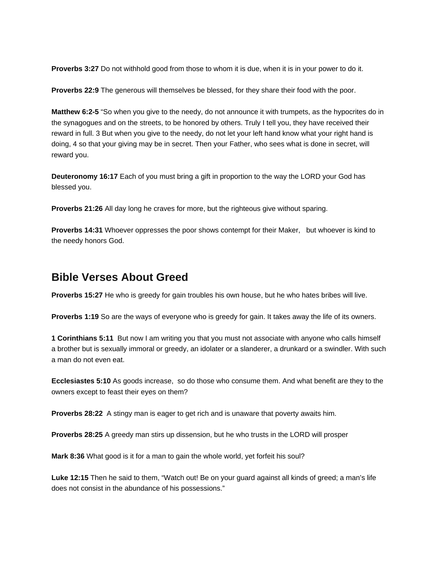**Proverbs 3:27** Do not withhold good from those to whom it is due, when it is in your power to do it.

**Proverbs 22:9** The generous will themselves be blessed, for they share their food with the poor.

**Matthew 6:2-5** "So when you give to the needy, do not announce it with trumpets, as the hypocrites do in the synagogues and on the streets, to be honored by others. Truly I tell you, they have received their reward in full. 3 But when you give to the needy, do not let your left hand know what your right hand is doing, 4 so that your giving may be in secret. Then your Father, who sees what is done in secret, will reward you.

**Deuteronomy 16:17** Each of you must bring a gift in proportion to the way the LORD your God has blessed you.

**Proverbs 21:26** All day long he craves for more, but the righteous give without sparing.

**Proverbs 14:31** Whoever oppresses the poor shows contempt for their Maker, but whoever is kind to the needy honors God.

#### **Bible Verses About Greed**

**Proverbs 15:27** He who is greedy for gain troubles his own house, but he who hates bribes will live.

**Proverbs 1:19** So are the ways of everyone who is greedy for gain. It takes away the life of its owners.

**1 Corinthians 5:11** But now I am writing you that you must not associate with anyone who calls himself a brother but is sexually immoral or greedy, an idolater or a slanderer, a drunkard or a swindler. With such a man do not even eat.

**Ecclesiastes 5:10** As goods increase, so do those who consume them. And what benefit are they to the owners except to feast their eyes on them?

**Proverbs 28:22** A stingy man is eager to get rich and is unaware that poverty awaits him.

**Proverbs 28:25** A greedy man stirs up dissension, but he who trusts in the LORD will prosper

**Mark 8:36** What good is it for a man to gain the whole world, yet forfeit his soul?

**Luke 12:15** Then he said to them, "Watch out! Be on your guard against all kinds of greed; a man's life does not consist in the abundance of his possessions."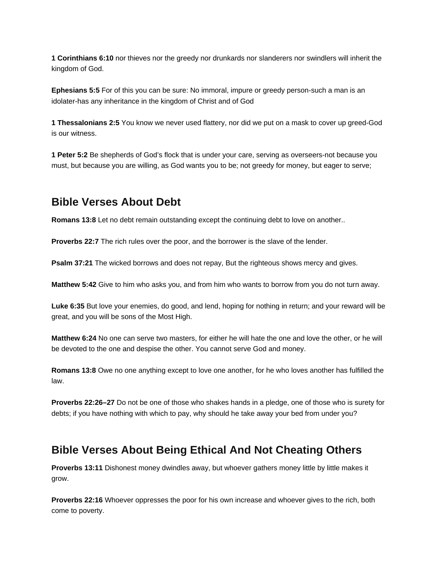**1 Corinthians 6:10** nor thieves nor the greedy nor drunkards nor slanderers nor swindlers will inherit the kingdom of God.

**Ephesians 5:5** For of this you can be sure: No immoral, impure or greedy person-such a man is an idolater-has any inheritance in the kingdom of Christ and of God

**1 Thessalonians 2:5** You know we never used flattery, nor did we put on a mask to cover up greed-God is our witness.

**1 Peter 5:2** Be shepherds of God's flock that is under your care, serving as overseers-not because you must, but because you are willing, as God wants you to be; not greedy for money, but eager to serve;

#### **Bible Verses About Debt**

**Romans 13:8** Let no debt remain outstanding except the continuing debt to love on another..

**Proverbs 22:7** The rich rules over the poor, and the borrower is the slave of the lender.

**Psalm 37:21** The wicked borrows and does not repay, But the righteous shows mercy and gives.

**Matthew 5:42** Give to him who asks you, and from him who wants to borrow from you do not turn away.

**Luke 6:35** But love your enemies, do good, and lend, hoping for nothing in return; and your reward will be great, and you will be sons of the Most High.

**Matthew 6:24** No one can serve two masters, for either he will hate the one and love the other, or he will be devoted to the one and despise the other. You cannot serve God and money.

**Romans 13:8** Owe no one anything except to love one another, for he who loves another has fulfilled the law.

**Proverbs 22:26–27** Do not be one of those who shakes hands in a pledge, one of those who is surety for debts; if you have nothing with which to pay, why should he take away your bed from under you?

### **Bible Verses About Being Ethical And Not Cheating Others**

**Proverbs 13:11** Dishonest money dwindles away, but whoever gathers money little by little makes it grow.

**Proverbs 22:16** Whoever oppresses the poor for his own increase and whoever gives to the rich, both come to poverty.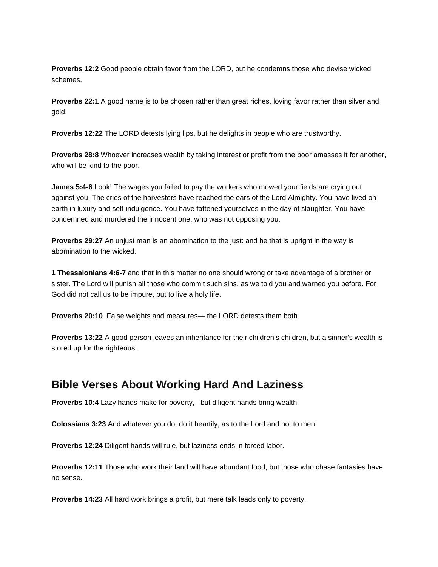**Proverbs 12:2** Good people obtain favor from the LORD, but he condemns those who devise wicked schemes.

**Proverbs 22:1** A good name is to be chosen rather than great riches, loving favor rather than silver and gold.

**Proverbs 12:22** The LORD detests lying lips, but he delights in people who are trustworthy.

**Proverbs 28:8** Whoever increases wealth by taking interest or profit from the poor amasses it for another, who will be kind to the poor.

**James 5:4-6** Look! The wages you failed to pay the workers who mowed your fields are crying out against you. The cries of the harvesters have reached the ears of the Lord Almighty. You have lived on earth in luxury and self-indulgence. You have fattened yourselves in the day of slaughter. You have condemned and murdered the innocent one, who was not opposing you.

**Proverbs 29:27** An unjust man is an abomination to the just: and he that is upright in the way is abomination to the wicked.

**1 Thessalonians 4:6-7** and that in this matter no one should wrong or take advantage of a brother or sister. The Lord will punish all those who commit such sins, as we told you and warned you before. For God did not call us to be impure, but to live a holy life.

**Proverbs 20:10** False weights and measures— the LORD detests them both.

**Proverbs 13:22** A good person leaves an inheritance for their children's children, but a sinner's wealth is stored up for the righteous.

## **Bible Verses About Working Hard And Laziness**

**Proverbs 10:4** Lazy hands make for poverty, but diligent hands bring wealth.

**Colossians 3:23** And whatever you do, do it heartily, as to the Lord and not to men.

**Proverbs 12:24** Diligent hands will rule, but laziness ends in forced labor.

**Proverbs 12:11** Those who work their land will have abundant food, but those who chase fantasies have no sense.

**Proverbs 14:23** All hard work brings a profit, but mere talk leads only to poverty.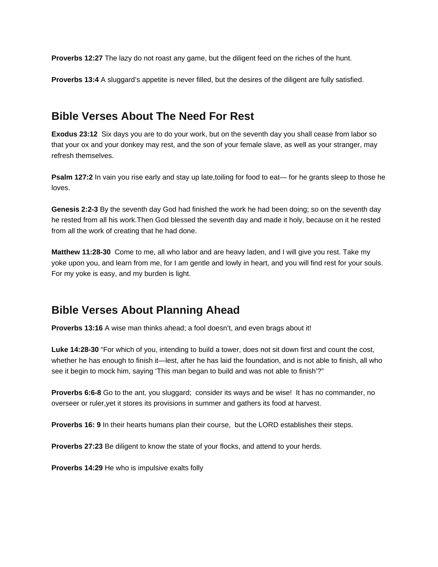**Proverbs 12:27** The lazy do not roast any game, but the diligent feed on the riches of the hunt.

**Proverbs 13:4** A sluggard's appetite is never filled, but the desires of the diligent are fully satisfied.

#### **Bible Verses About The Need For Rest**

**Exodus 23:12** Six days you are to do your work, but on the seventh day you shall cease from labor so that your ox and your donkey may rest, and the son of your female slave, as well as your stranger, may refresh themselves.

**Psalm 127:2** In vain you rise early and stay up late,toiling for food to eat— for he grants sleep to those he loves.

**Genesis 2:2-3** By the seventh day God had finished the work he had been doing; so on the seventh day he rested from all his work.Then God blessed the seventh day and made it holy, because on it he rested from all the work of creating that he had done.

**Matthew 11:28-30** Come to me, all who labor and are heavy laden, and I will give you rest. Take my yoke upon you, and learn from me, for I am gentle and lowly in heart, and you will find rest for your souls. For my yoke is easy, and my burden is light.

## **Bible Verses About Planning Ahead**

**Proverbs 13:16** A wise man thinks ahead; a fool doesn't, and even brags about it!

**Luke 14:28-30** "For which of you, intending to build a tower, does not sit down first and count the cost, whether he has enough to finish it—lest, after he has laid the foundation, and is not able to finish, all who see it begin to mock him, saying 'This man began to build and was not able to finish'?"

**Proverbs 6:6-8** Go to the ant, you sluggard; consider its ways and be wise! It has no commander, no overseer or ruler,yet it stores its provisions in summer and gathers its food at harvest.

**Proverbs 16: 9** In their hearts humans plan their course, but the LORD establishes their steps.

**Proverbs 27:23** Be diligent to know the state of your flocks, and attend to your herds.

**Proverbs 14:29** He who is impulsive exalts folly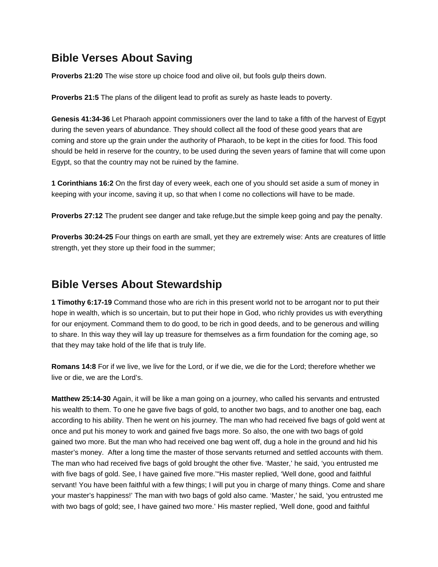## **Bible Verses About Saving**

**Proverbs 21:20** The wise store up choice food and olive oil, but fools gulp theirs down.

**Proverbs 21:5** The plans of the diligent lead to profit as surely as haste leads to poverty.

**Genesis 41:34-36** Let Pharaoh appoint commissioners over the land to take a fifth of the harvest of Egypt during the seven years of abundance. They should collect all the food of these good years that are coming and store up the grain under the authority of Pharaoh, to be kept in the cities for food. This food should be held in reserve for the country, to be used during the seven years of famine that will come upon Egypt, so that the country may not be ruined by the famine.

**1 Corinthians 16:2** On the first day of every week, each one of you should set aside a sum of money in keeping with your income, saving it up, so that when I come no collections will have to be made.

**Proverbs 27:12** The prudent see danger and take refuge, but the simple keep going and pay the penalty.

**Proverbs 30:24-25** Four things on earth are small, yet they are extremely wise: Ants are creatures of little strength, yet they store up their food in the summer;

## **Bible Verses About Stewardship**

**1 Timothy 6:17-19** Command those who are rich in this present world not to be arrogant nor to put their hope in wealth, which is so uncertain, but to put their hope in God, who richly provides us with everything for our enjoyment. Command them to do good, to be rich in good deeds, and to be generous and willing to share. In this way they will lay up treasure for themselves as a firm foundation for the coming age, so that they may take hold of the life that is truly life.

**Romans 14:8** For if we live, we live for the Lord, or if we die, we die for the Lord; therefore whether we live or die, we are the Lord's.

**Matthew 25:14-30** Again, it will be like a man going on a journey, who called his servants and entrusted his wealth to them. To one he gave five bags of gold, to another two bags, and to another one bag, each according to his ability. Then he went on his journey. The man who had received five bags of gold went at once and put his money to work and gained five bags more. So also, the one with two bags of gold gained two more. But the man who had received one bag went off, dug a hole in the ground and hid his master's money. After a long time the master of those servants returned and settled accounts with them. The man who had received five bags of gold brought the other five. 'Master,' he said, 'you entrusted me with five bags of gold. See, I have gained five more.'"His master replied, 'Well done, good and faithful servant! You have been faithful with a few things; I will put you in charge of many things. Come and share your master's happiness!' The man with two bags of gold also came. 'Master,' he said, 'you entrusted me with two bags of gold; see, I have gained two more.' His master replied, 'Well done, good and faithful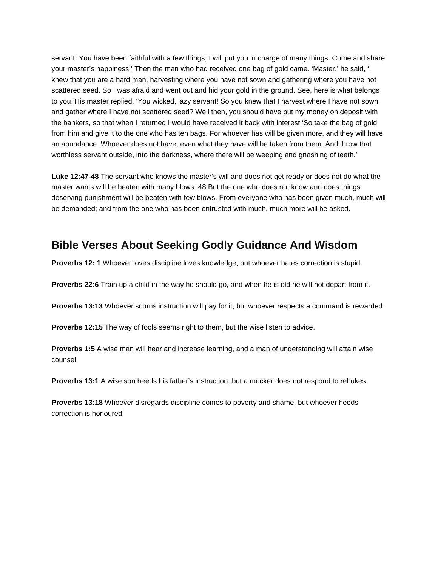servant! You have been faithful with a few things; I will put you in charge of many things. Come and share your master's happiness!' Then the man who had received one bag of gold came. 'Master,' he said, 'I knew that you are a hard man, harvesting where you have not sown and gathering where you have not scattered seed. So I was afraid and went out and hid your gold in the ground. See, here is what belongs to you.'His master replied, 'You wicked, lazy servant! So you knew that I harvest where I have not sown and gather where I have not scattered seed? Well then, you should have put my money on deposit with the bankers, so that when I returned I would have received it back with interest.'So take the bag of gold from him and give it to the one who has ten bags. For whoever has will be given more, and they will have an abundance. Whoever does not have, even what they have will be taken from them. And throw that worthless servant outside, into the darkness, where there will be weeping and gnashing of teeth.'

**Luke 12:47-48** The servant who knows the master's will and does not get ready or does not do what the master wants will be beaten with many blows. 48 But the one who does not know and does things deserving punishment will be beaten with few blows. From everyone who has been given much, much will be demanded; and from the one who has been entrusted with much, much more will be asked.

#### **Bible Verses About Seeking Godly Guidance And Wisdom**

**Proverbs 12: 1** Whoever loves discipline loves knowledge, but whoever hates correction is stupid.

**Proverbs 22:6** Train up a child in the way he should go, and when he is old he will not depart from it.

**Proverbs 13:13** Whoever scorns instruction will pay for it, but whoever respects a command is rewarded.

**Proverbs 12:15** The way of fools seems right to them, but the wise listen to advice.

**Proverbs 1:5** A wise man will hear and increase learning, and a man of understanding will attain wise counsel.

**Proverbs 13:1** A wise son heeds his father's instruction, but a mocker does not respond to rebukes.

**Proverbs 13:18** Whoever disregards discipline comes to poverty and shame, but whoever heeds correction is honoured.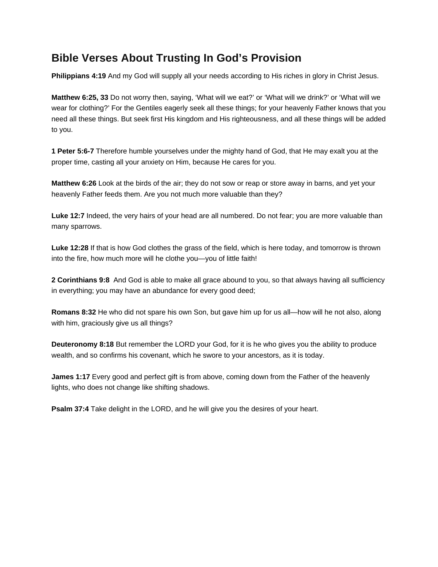# **Bible Verses About Trusting In God's Provision**

**Philippians 4:19** And my God will supply all your needs according to His riches in glory in Christ Jesus.

**Matthew 6:25, 33** Do not worry then, saying, 'What will we eat?' or 'What will we drink?' or 'What will we wear for clothing?' For the Gentiles eagerly seek all these things; for your heavenly Father knows that you need all these things. But seek first His kingdom and His righteousness, and all these things will be added to you.

**1 Peter 5:6-7** Therefore humble yourselves under the mighty hand of God, that He may exalt you at the proper time, casting all your anxiety on Him, because He cares for you.

**Matthew 6:26** Look at the birds of the air; they do not sow or reap or store away in barns, and yet your heavenly Father feeds them. Are you not much more valuable than they?

**Luke 12:7** Indeed, the very hairs of your head are all numbered. Do not fear; you are more valuable than many sparrows.

**Luke 12:28** If that is how God clothes the grass of the field, which is here today, and tomorrow is thrown into the fire, how much more will he clothe you—you of little faith!

**2 Corinthians 9:8** And God is able to make all grace abound to you, so that always having all sufficiency in everything; you may have an abundance for every good deed;

**Romans 8:32** He who did not spare his own Son, but gave him up for us all—how will he not also, along with him, graciously give us all things?

**Deuteronomy 8:18** But remember the LORD your God, for it is he who gives you the ability to produce wealth, and so confirms his covenant, which he swore to your ancestors, as it is today.

**James 1:17** Every good and perfect gift is from above, coming down from the Father of the heavenly lights, who does not change like shifting shadows.

**Psalm 37:4** Take delight in the LORD, and he will give you the desires of your heart.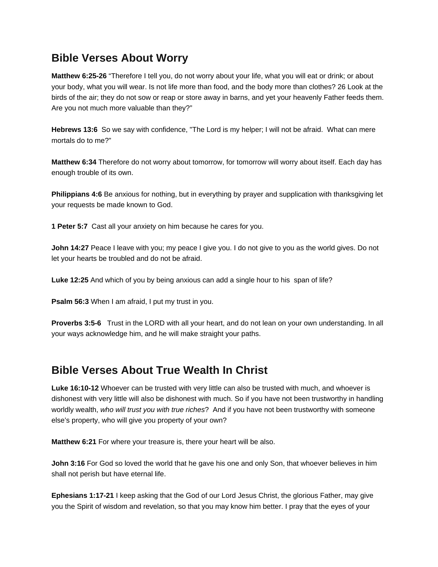## **Bible Verses About Worry**

**Matthew 6:25-26** "Therefore I tell you, do not worry about your life, what you will eat or drink; or about your body, what you will wear. Is not life more than food, and the body more than clothes? 26 Look at the birds of the air; they do not sow or reap or store away in barns, and yet your heavenly Father feeds them. Are you not much more valuable than they?"

**Hebrews 13:6** So we say with confidence, "The Lord is my helper; I will not be afraid. What can mere mortals do to me?"

**Matthew 6:34** Therefore do not worry about tomorrow, for tomorrow will worry about itself. Each day has enough trouble of its own.

**Philippians 4:6** Be anxious for nothing, but in everything by prayer and supplication with thanksgiving let your requests be made known to God.

**1 Peter 5:7** Cast all your anxiety on him because he cares for you.

**John 14:27** Peace I leave with you; my peace I give you. I do not give to you as the world gives. Do not let your hearts be troubled and do not be afraid.

**Luke 12:25** And which of you by being anxious can add a single hour to his span of life?

**Psalm 56:3** When I am afraid, I put my trust in you.

**Proverbs 3:5-6** Trust in the LORD with all your heart, and do not lean on your own understanding. In all your ways acknowledge him, and he will make straight your paths.

## **Bible Verses About True Wealth In Christ**

**Luke 16:10-12** Whoever can be trusted with very little can also be trusted with much, and whoever is dishonest with very little will also be dishonest with much. So if you have not been trustworthy in handling worldly wealth, *who will trust you with true riches*? And if you have not been trustworthy with someone else's property, who will give you property of your own?

**Matthew 6:21** For where your treasure is, there your heart will be also.

**John 3:16** For God so loved the world that he gave his one and only Son, that whoever believes in him shall not perish but have eternal life.

**Ephesians 1:17-21** I keep asking that the God of our Lord Jesus Christ, the glorious Father, may give you the Spirit of wisdom and revelation, so that you may know him better. I pray that the eyes of your